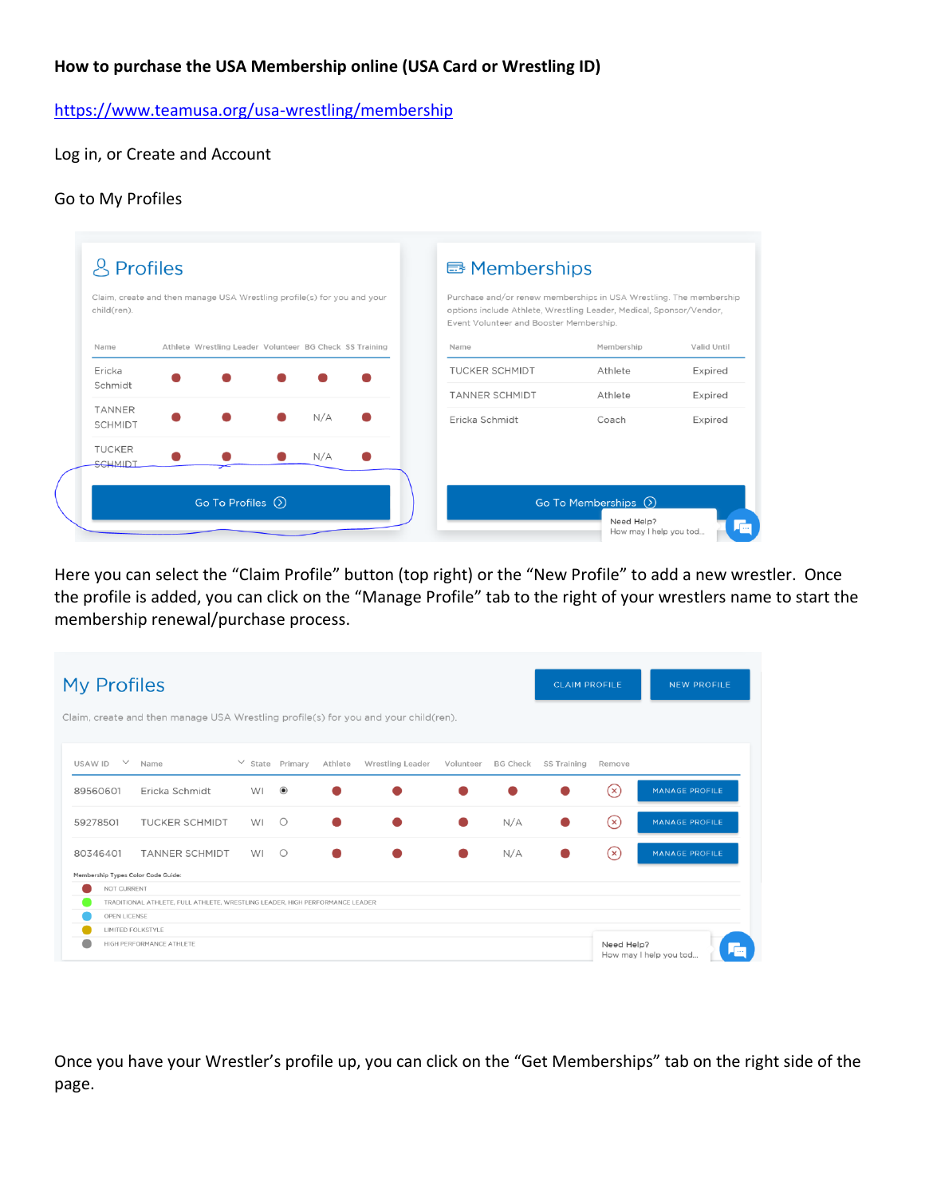## **How to purchase the USA Membership online (USA Card or Wrestling ID)**

<https://www.teamusa.org/usa-wrestling/membership>

Log in, or Create and Account

#### Go to My Profiles

| child(ren).                     | Claim, create and then manage USA Wrestling profile(s) for you and your |     | Purchase and/or renew memberships in USA Wrestling. The membership<br>options include Athlete, Wrestling Leader, Medical, Sponsor/Vendor,<br>Event Volunteer and Booster Membership. |                  |                    |
|---------------------------------|-------------------------------------------------------------------------|-----|--------------------------------------------------------------------------------------------------------------------------------------------------------------------------------------|------------------|--------------------|
| Name                            | Athlete Wrestling Leader Volunteer BG Check SS Training                 |     | Name                                                                                                                                                                                 | Membership       | Valid Until        |
| Ericka<br>Schmidt               |                                                                         |     | <b>TUCKER SCHMIDT</b>                                                                                                                                                                | Athlete          | Expired            |
| <b>TANNER</b><br><b>SCHMIDT</b> |                                                                         | N/A | <b>TANNER SCHMIDT</b><br>Ericka Schmidt                                                                                                                                              | Athlete<br>Coach | Expired<br>Expired |
| <b>TUCKER</b><br><b>SCHMIDT</b> |                                                                         | N/A |                                                                                                                                                                                      |                  |                    |

Here you can select the "Claim Profile" button (top right) or the "New Profile" to add a new wrestler. Once the profile is added, you can click on the "Manage Profile" tab to the right of your wrestlers name to start the membership renewal/purchase process.

| <b>My Profiles</b>                 |                                                                                     |                      |                  |         |                  |           |                 | <b>CLAIM PROFILE</b> |            | <b>NEW PROFILE</b>                   |
|------------------------------------|-------------------------------------------------------------------------------------|----------------------|------------------|---------|------------------|-----------|-----------------|----------------------|------------|--------------------------------------|
|                                    | Claim, create and then manage USA Wrestling profile(s) for you and your child(ren). |                      |                  |         |                  |           |                 |                      |            |                                      |
| USAW ID Y                          | Name                                                                                | $\vee$ State Primary |                  | Athlete | Wrestling Leader | Volunteer | <b>BG Check</b> | SS Training          | Remove     |                                      |
| 89560601                           | Ericka Schmidt                                                                      | WI                   | $\circledbullet$ |         |                  |           |                 |                      | $(\times)$ | <b>MANAGE PROFILE</b>                |
| 59278501                           | TUCKER SCHMIDT                                                                      | WI                   | $\circ$          |         |                  |           | N/A             |                      | (x)        | <b>MANAGE PROFILE</b>                |
| 80346401                           | <b>TANNER SCHMIDT</b>                                                               | WI                   | $\circ$          |         |                  |           | N/A             |                      | $(\times)$ | <b>MANAGE PROFILE</b>                |
| Membership Types Color Code Guide: |                                                                                     |                      |                  |         |                  |           |                 |                      |            |                                      |
| NOT CURRENT                        |                                                                                     |                      |                  |         |                  |           |                 |                      |            |                                      |
|                                    | TRADITIONAL ATHLETE, FULL ATHLETE, WRESTLING LEADER, HIGH PERFORMANCE LEADER        |                      |                  |         |                  |           |                 |                      |            |                                      |
| OPEN LICENSE                       |                                                                                     |                      |                  |         |                  |           |                 |                      |            |                                      |
|                                    | LIMITED FOLKSTYLE                                                                   |                      |                  |         |                  |           |                 |                      |            |                                      |
|                                    | HIGH PERFORMANCE ATHLETE                                                            |                      |                  |         |                  |           |                 |                      | Need Help? | . <u>.</u><br>How may I help you tod |

Once you have your Wrestler's profile up, you can click on the "Get Memberships" tab on the right side of the page.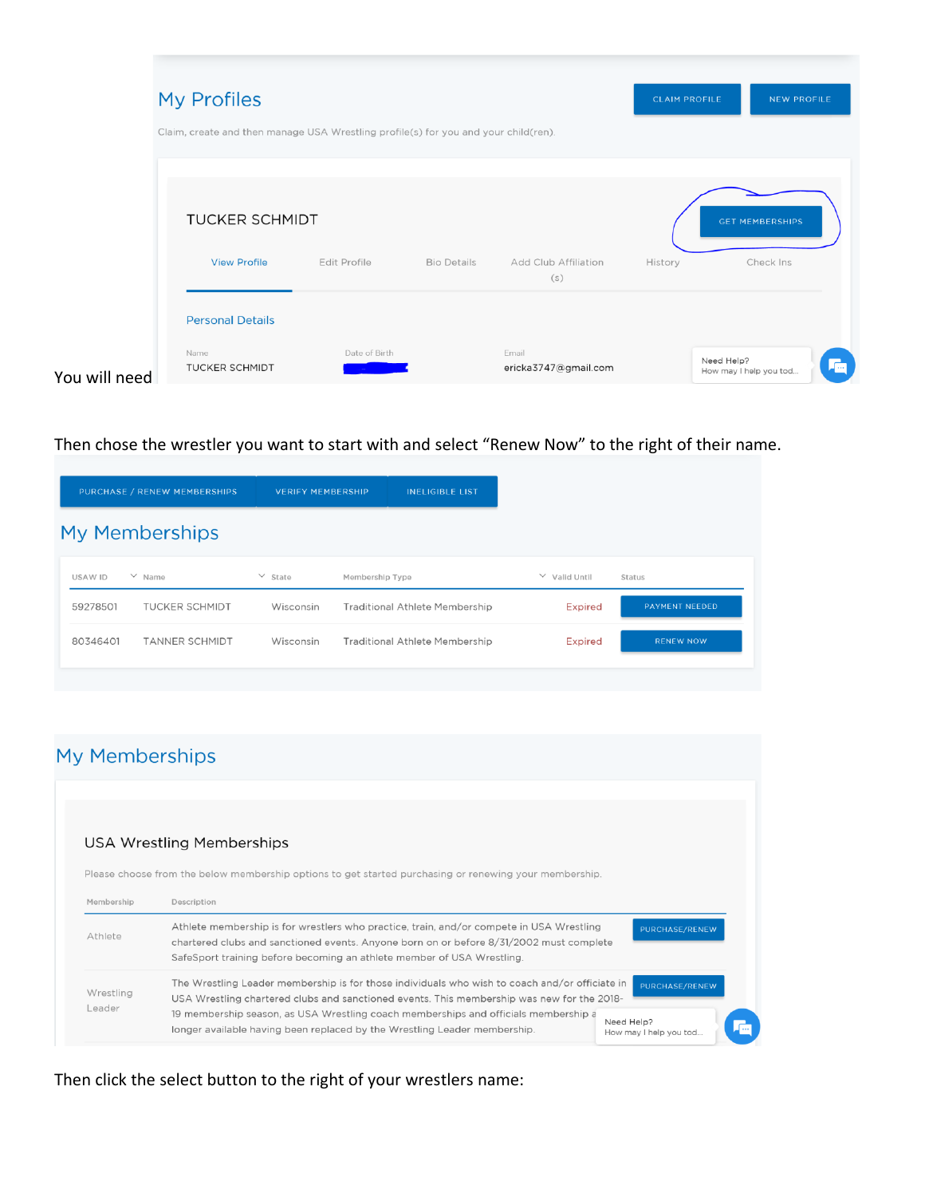|               | My Profiles<br>Claim, create and then manage USA Wrestling profile(s) for you and your child(ren). |                     |                    |                               | <b>CLAIM PROFILE</b> | <b>NEW PROFILE</b>                   |    |
|---------------|----------------------------------------------------------------------------------------------------|---------------------|--------------------|-------------------------------|----------------------|--------------------------------------|----|
|               |                                                                                                    |                     |                    |                               |                      |                                      |    |
|               | <b>TUCKER SCHMIDT</b>                                                                              |                     |                    |                               |                      | <b>GET MEMBERSHIPS</b>               |    |
|               | <b>View Profile</b>                                                                                | <b>Edit Profile</b> | <b>Bio Details</b> | Add Club Affiliation<br>(s)   | History              | Check Ins                            |    |
|               | <b>Personal Details</b>                                                                            |                     |                    |                               |                      |                                      |    |
| You will need | Name<br><b>TUCKER SCHMIDT</b>                                                                      | Date of Birth       |                    | Email<br>ericka3747@gmail.com |                      | Need Help?<br>How may I help you tod | G۱ |

Then chose the wrestler you want to start with and select "Renew Now" to the right of their name.

|          | PURCHASE / RENEW MEMBERSHIPS | <b>VERIFY MEMBERSHIP</b> |                 | <b>INELIGIBLE LIST</b>                |                    |                       |
|----------|------------------------------|--------------------------|-----------------|---------------------------------------|--------------------|-----------------------|
|          | My Memberships               |                          |                 |                                       |                    |                       |
| USAW ID  | $\vee$ Name                  | $\vee$ State             | Membership Type |                                       | $\vee$ Valid Until | Status                |
| 59278501 | <b>TUCKER SCHMIDT</b>        | Wisconsin                |                 | <b>Traditional Athlete Membership</b> | <b>Expired</b>     | <b>PAYMENT NEEDED</b> |
| 80346401 | <b>TANNER SCHMIDT</b>        | Wisconsin                |                 | <b>Traditional Athlete Membership</b> | <b>Expired</b>     | <b>RENEW NOW</b>      |

# My Memberships

## USA Wrestling Memberships

Please choose from the below membership options to get started purchasing or renewing your membership.

| Membership          | Description                                                                                                                                                                                                                                                   |                                                       |
|---------------------|---------------------------------------------------------------------------------------------------------------------------------------------------------------------------------------------------------------------------------------------------------------|-------------------------------------------------------|
| Athlete             | Athlete membership is for wrestlers who practice, train, and/or compete in USA Wrestling<br>chartered clubs and sanctioned events. Anyone born on or before 8/31/2002 must complete<br>SafeSport training before becoming an athlete member of USA Wrestling. | PURCHASE/RENEW                                        |
| Wrestling<br>_eader | The Wrestling Leader membership is for those individuals who wish to coach and/or officiate in<br>USA Wrestling chartered clubs and sanctioned events. This membership was new for the 2018-                                                                  | PURCHASE/RENEW                                        |
|                     | 19 membership season, as USA Wrestling coach memberships and officials membership a<br>longer available having been replaced by the Wrestling Leader membership.                                                                                              | Need Help?<br><u> 100 k</u><br>How may I help you tod |

## Then click the select button to the right of your wrestlers name: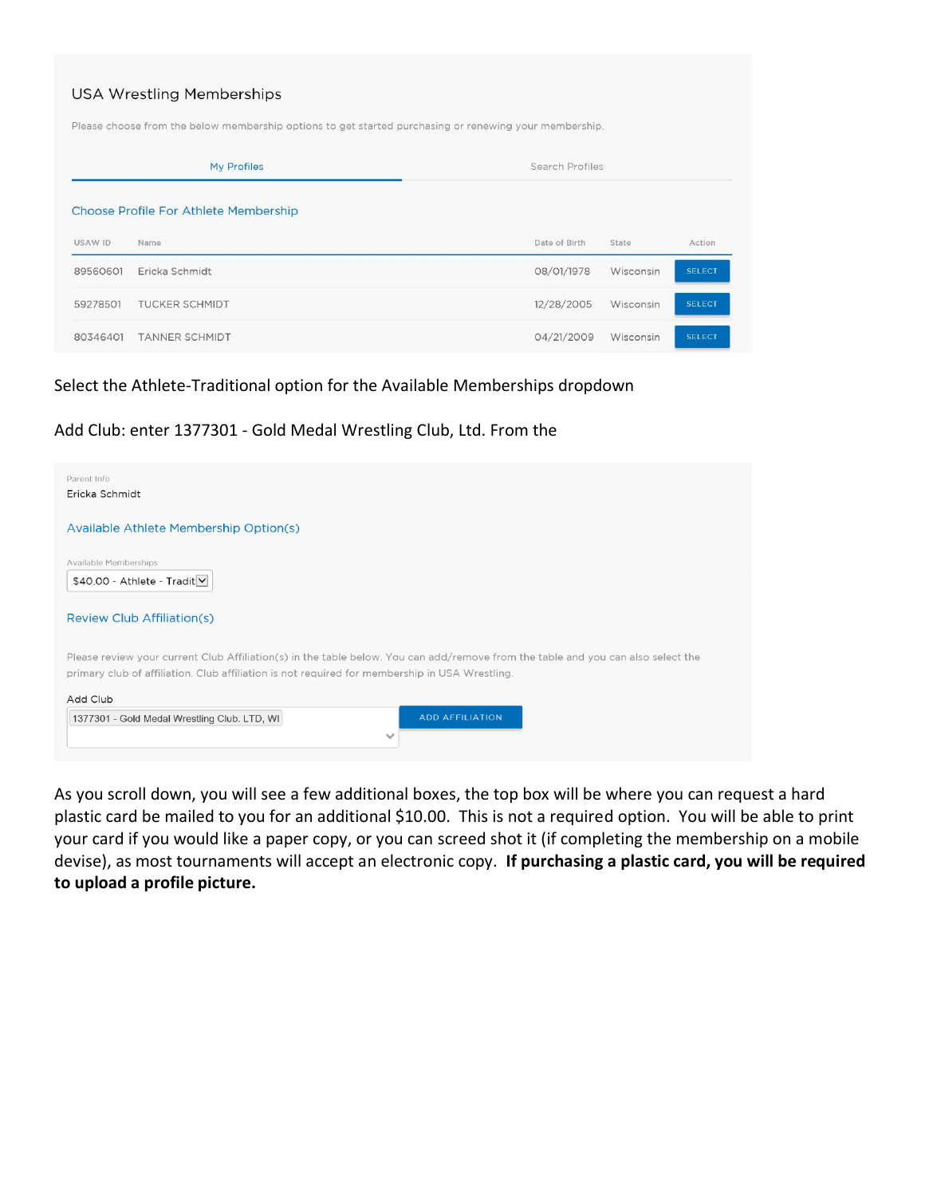|          | <b>USA Wrestling Memberships</b><br>Please choose from the below membership options to get started purchasing or renewing your membership. |                 |           |               |  |  |  |  |
|----------|--------------------------------------------------------------------------------------------------------------------------------------------|-----------------|-----------|---------------|--|--|--|--|
|          | My Profiles                                                                                                                                | Search Profiles |           |               |  |  |  |  |
|          | Choose Profile For Athlete Membership                                                                                                      |                 |           |               |  |  |  |  |
| USAW ID  | Name                                                                                                                                       | Date of Birth   | State     | Action        |  |  |  |  |
| 89560601 | Ericka Schmidt                                                                                                                             | 08/01/1978      | Wisconsin | <b>SELECT</b> |  |  |  |  |
| 59278501 | <b>TUCKER SCHMIDT</b>                                                                                                                      | 12/28/2005      | Wisconsin | <b>SELECT</b> |  |  |  |  |
| 80346401 | <b>TANNER SCHMIDT</b>                                                                                                                      | 04/21/2009      | Wisconsin | <b>SELECT</b> |  |  |  |  |

### Select the Athlete-Traditional option for the Available Memberships dropdown

### Add Club: enter 1377301 - Gold Medal Wrestling Club, Ltd. From the



As you scroll down, you will see a few additional boxes, the top box will be where you can request a hard plastic card be mailed to you for an additional \$10.00. This is not a required option. You will be able to print your card if you would like a paper copy, or you can screed shot it (if completing the membership on a mobile devise), as most tournaments will accept an electronic copy. **If purchasing a plastic card, you will be required to upload a profile picture.**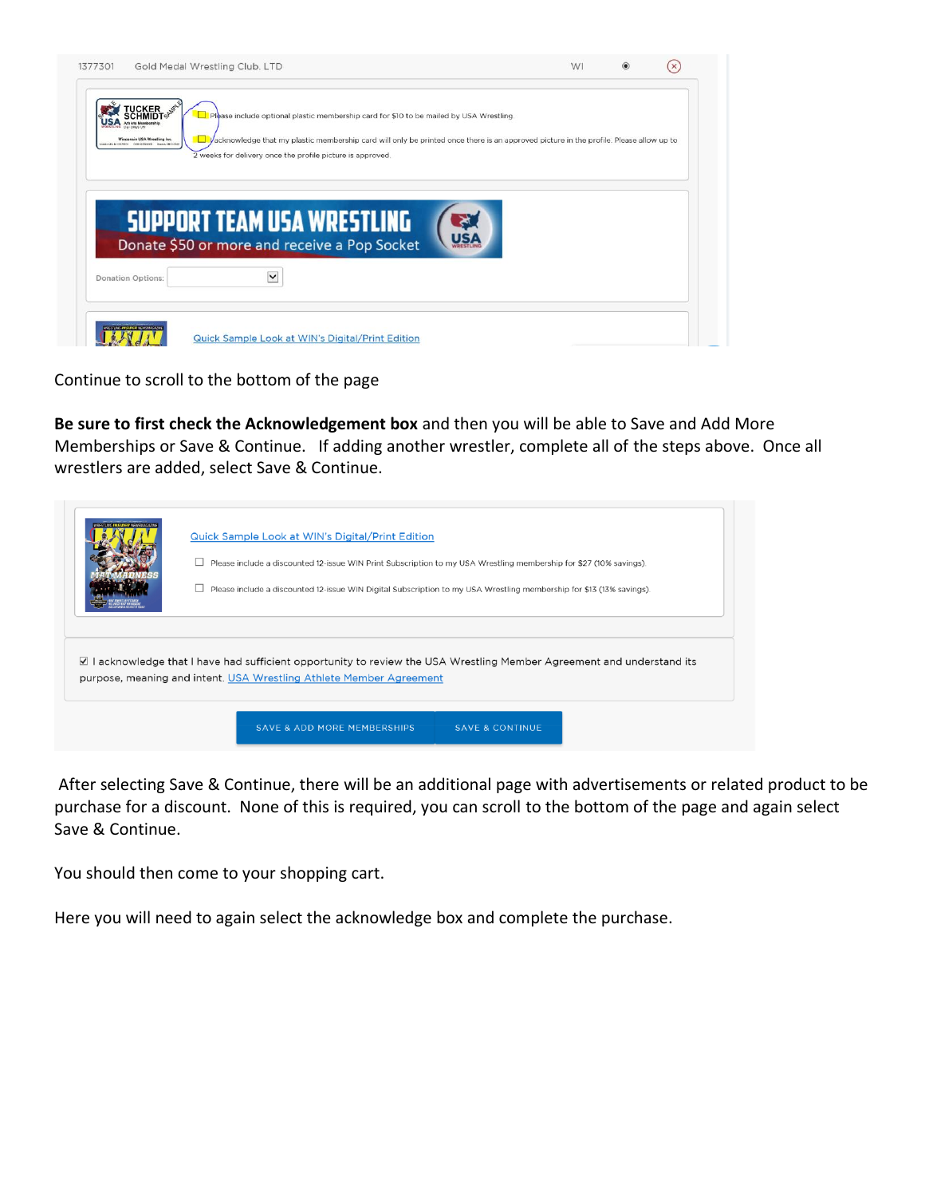| <b>TUCKER</b>                                                                    | Please include optional plastic membership card for \$10 to be mailed by USA Wrestling.                                                |  |  |
|----------------------------------------------------------------------------------|----------------------------------------------------------------------------------------------------------------------------------------|--|--|
| Wisconsin USA Wrestling Inc.<br>UNR/ 1993 METRO - COR12093005 - Expans CB-512326 | Vacknowledge that my plastic membership card will only be printed once there is an approved picture in the profile. Please allow up to |  |  |
|                                                                                  | 2 weeks for delivery once the profile picture is approved.                                                                             |  |  |
|                                                                                  |                                                                                                                                        |  |  |
|                                                                                  |                                                                                                                                        |  |  |
|                                                                                  |                                                                                                                                        |  |  |
|                                                                                  | <b>SUPPORT TEAM USA WRESTLING</b>                                                                                                      |  |  |
|                                                                                  | Donate \$50 or more and receive a Pop Socket                                                                                           |  |  |
| <b>Donation Options:</b>                                                         | $\checkmark$                                                                                                                           |  |  |

Continue to scroll to the bottom of the page

**Be sure to first check the Acknowledgement box** and then you will be able to Save and Add More Memberships or Save & Continue. If adding another wrestler, complete all of the steps above. Once all wrestlers are added, select Save & Continue.

| <b>Quick Sample Look at WIN's Digital/Print Edition</b><br>Please include a discounted 12-issue WIN Print Subscription to my USA Wrestling membership for \$27 (10% savings).                 |
|-----------------------------------------------------------------------------------------------------------------------------------------------------------------------------------------------|
| Please include a discounted 12-issue WIN Digital Subscription to my USA Wrestling membership for \$13 (13% savings).                                                                          |
|                                                                                                                                                                                               |
| ☑ I acknowledge that I have had sufficient opportunity to review the USA Wrestling Member Agreement and understand its<br>purpose, meaning and intent. USA Wrestling Athlete Member Agreement |

After selecting Save & Continue, there will be an additional page with advertisements or related product to be purchase for a discount. None of this is required, you can scroll to the bottom of the page and again select Save & Continue.

You should then come to your shopping cart.

Here you will need to again select the acknowledge box and complete the purchase.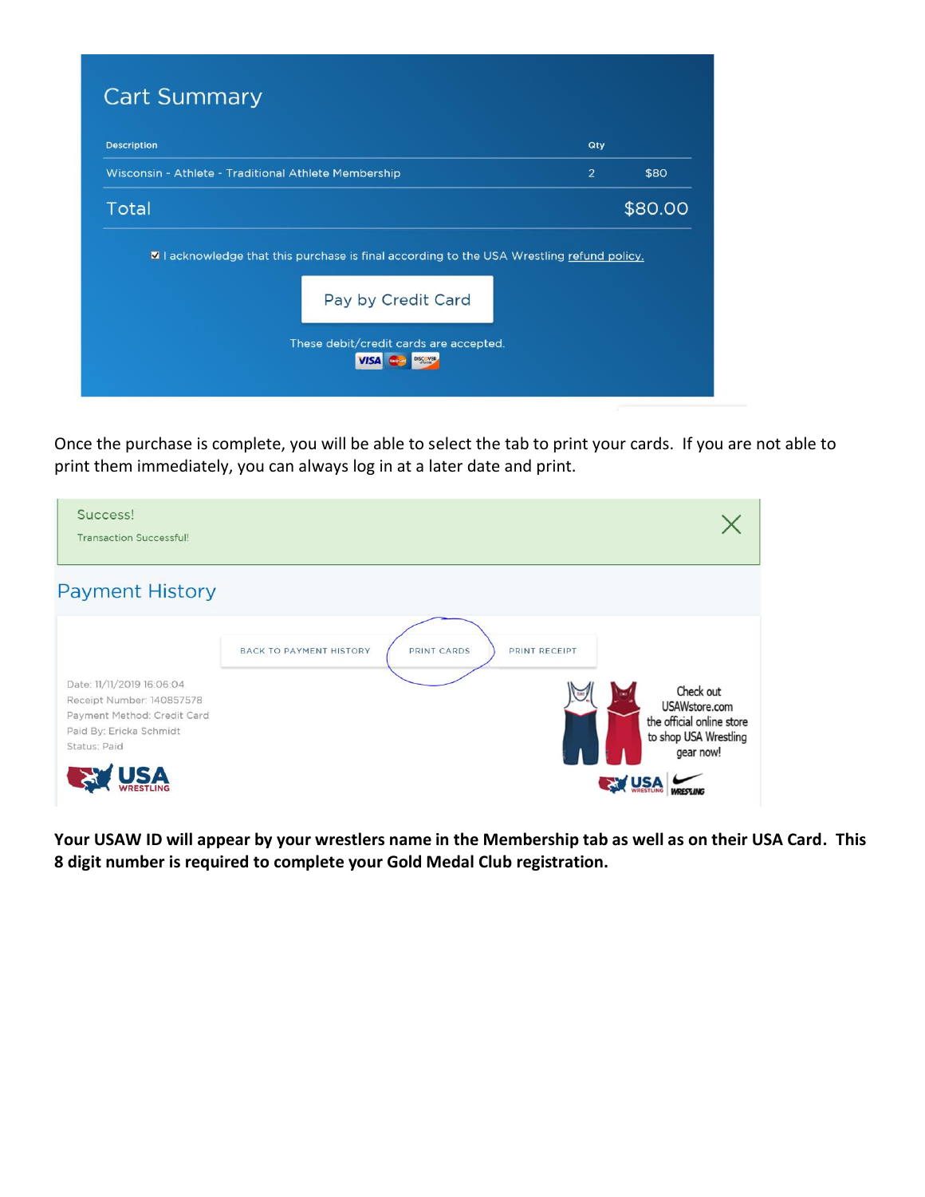| <b>Description</b> |                                                      | Qty            |         |
|--------------------|------------------------------------------------------|----------------|---------|
|                    | Wisconsin - Athlete - Traditional Athlete Membership | $\overline{2}$ | \$80    |
| <b>Total</b>       |                                                      |                | \$80.00 |
|                    | Pay by Credit Card                                   |                |         |
|                    |                                                      |                |         |

Once the purchase is complete, you will be able to select the tab to print your cards. If you are not able to print them immediately, you can always log in at a later date and print.

| Success!<br><b>Transaction Successful!</b>                                                                                       |                                                                |                                                                                               |
|----------------------------------------------------------------------------------------------------------------------------------|----------------------------------------------------------------|-----------------------------------------------------------------------------------------------|
| <b>Payment History</b>                                                                                                           |                                                                |                                                                                               |
| Date: 11/11/2019 16:06:04<br>Receipt Number: 140857578<br>Payment Method: Credit Card<br>Paid By: Ericka Schmidt<br>Status: Paid | PRINT CARDS<br><b>BACK TO PAYMENT HISTORY</b><br>PRINT RECEIPT | Check out<br>USAWstore.com<br>the official online store<br>to shop USA Wrestling<br>gear now! |

**Your USAW ID will appear by your wrestlers name in the Membership tab as well as on their USA Card. This 8 digit number is required to complete your Gold Medal Club registration.**